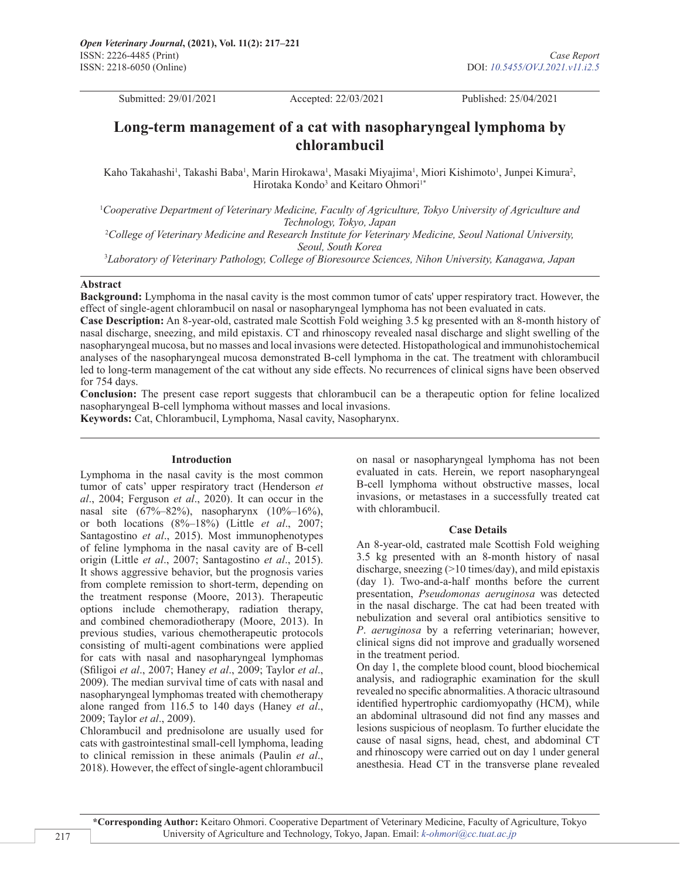Submitted: 29/01/2021 Accepted: 22/03/2021 Published: 25/04/2021

# **Long-term management of a cat with nasopharyngeal lymphoma by chlorambucil**

Kaho Takahashi<sup>1</sup>, Takashi Baba<sup>1</sup>, Marin Hirokawa<sup>1</sup>, Masaki Miyajima<sup>1</sup>, Miori Kishimoto<sup>1</sup>, Junpei Kimura<sup>2</sup>, Hirotaka Kondo<sup>3</sup> and Keitaro Ohmori<sup>1\*</sup>

1 *Cooperative Department of Veterinary Medicine, Faculty of Agriculture, Tokyo University of Agriculture and Technology, Tokyo, Japan*

2 *College of Veterinary Medicine and Research Institute for Veterinary Medicine, Seoul National University, Seoul, South Korea*

3 *Laboratory of Veterinary Pathology, College of Bioresource Sciences, Nihon University, Kanagawa, Japan*

### **Abstract**

**Background:** Lymphoma in the nasal cavity is the most common tumor of cats' upper respiratory tract. However, the effect of single-agent chlorambucil on nasal or nasopharyngeal lymphoma has not been evaluated in cats.

**Case Description:** An 8-year-old, castrated male Scottish Fold weighing 3.5 kg presented with an 8-month history of nasal discharge, sneezing, and mild epistaxis. CT and rhinoscopy revealed nasal discharge and slight swelling of the nasopharyngeal mucosa, but no masses and local invasions were detected. Histopathological and immunohistochemical analyses of the nasopharyngeal mucosa demonstrated B-cell lymphoma in the cat. The treatment with chlorambucil led to long-term management of the cat without any side effects. No recurrences of clinical signs have been observed for 754 days.

**Conclusion:** The present case report suggests that chlorambucil can be a therapeutic option for feline localized nasopharyngeal B-cell lymphoma without masses and local invasions.

**Keywords:** Cat, Chlorambucil, Lymphoma, Nasal cavity, Nasopharynx.

### **Introduction**

Lymphoma in the nasal cavity is the most common tumor of cats' upper respiratory tract (Henderson *et al*., 2004; Ferguson *et al*., 2020). It can occur in the nasal site (67%–82%), nasopharynx (10%–16%), or both locations (8%–18%) (Little *et al*., 2007; Santagostino *et al*., 2015). Most immunophenotypes of feline lymphoma in the nasal cavity are of B-cell origin (Little *et al*., 2007; Santagostino *et al*., 2015). It shows aggressive behavior, but the prognosis varies from complete remission to short-term, depending on the treatment response (Moore, 2013). Therapeutic options include chemotherapy, radiation therapy, and combined chemoradiotherapy (Moore, 2013). In previous studies, various chemotherapeutic protocols consisting of multi-agent combinations were applied for cats with nasal and nasopharyngeal lymphomas (Sfiligoi *et al*., 2007; Haney *et al*., 2009; Taylor *et al*., 2009). The median survival time of cats with nasal and nasopharyngeal lymphomas treated with chemotherapy alone ranged from 116.5 to 140 days (Haney *et al*., 2009; Taylor *et al*., 2009).

Chlorambucil and prednisolone are usually used for cats with gastrointestinal small-cell lymphoma, leading to clinical remission in these animals (Paulin *et al*., 2018). However, the effect of single-agent chlorambucil

on nasal or nasopharyngeal lymphoma has not been evaluated in cats. Herein, we report nasopharyngeal B-cell lymphoma without obstructive masses, local invasions, or metastases in a successfully treated cat with chlorambucil.

### **Case Details**

An 8-year-old, castrated male Scottish Fold weighing 3.5 kg presented with an 8-month history of nasal discharge, sneezing (>10 times/day), and mild epistaxis (day 1). Two-and-a-half months before the current presentation, *Pseudomonas aeruginosa* was detected in the nasal discharge. The cat had been treated with nebulization and several oral antibiotics sensitive to *P*. *aeruginosa* by a referring veterinarian; however, clinical signs did not improve and gradually worsened in the treatment period.

On day 1, the complete blood count, blood biochemical analysis, and radiographic examination for the skull revealed no specific abnormalities. A thoracic ultrasound identified hypertrophic cardiomyopathy (HCM), while an abdominal ultrasound did not find any masses and lesions suspicious of neoplasm. To further elucidate the cause of nasal signs, head, chest, and abdominal CT and rhinoscopy were carried out on day 1 under general anesthesia. Head CT in the transverse plane revealed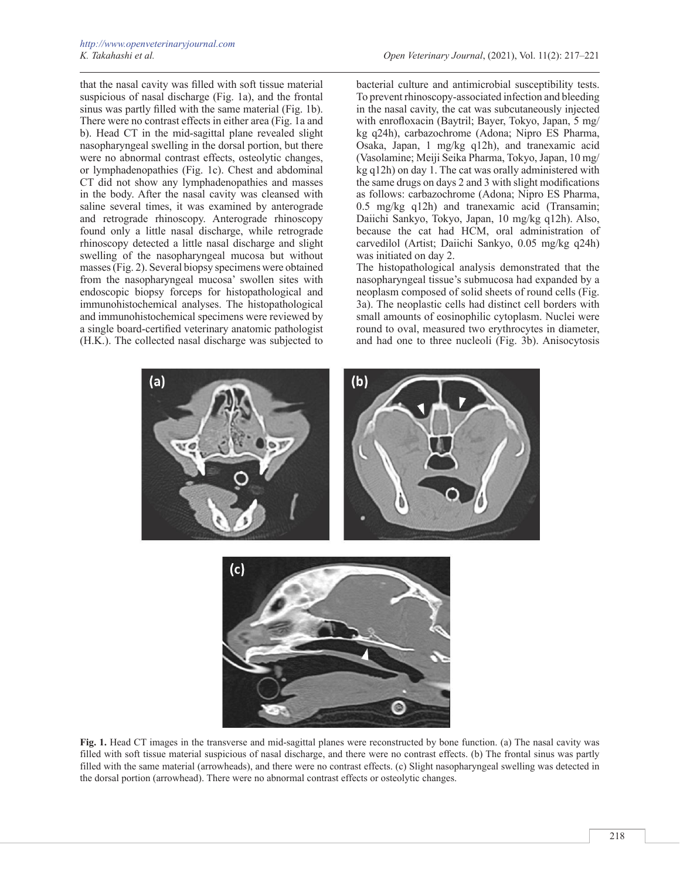that the nasal cavity was filled with soft tissue material suspicious of nasal discharge (Fig. 1a), and the frontal sinus was partly filled with the same material (Fig. 1b). There were no contrast effects in either area (Fig. 1a and b). Head CT in the mid-sagittal plane revealed slight nasopharyngeal swelling in the dorsal portion, but there were no abnormal contrast effects, osteolytic changes, or lymphadenopathies (Fig. 1c). Chest and abdominal CT did not show any lymphadenopathies and masses in the body. After the nasal cavity was cleansed with saline several times, it was examined by anterograde and retrograde rhinoscopy. Anterograde rhinoscopy found only a little nasal discharge, while retrograde rhinoscopy detected a little nasal discharge and slight swelling of the nasopharyngeal mucosa but without masses (Fig. 2). Several biopsy specimens were obtained from the nasopharyngeal mucosa' swollen sites with endoscopic biopsy forceps for histopathological and immunohistochemical analyses. The histopathological and immunohistochemical specimens were reviewed by a single board-certified veterinary anatomic pathologist (H.K.). The collected nasal discharge was subjected to

bacterial culture and antimicrobial susceptibility tests. To prevent rhinoscopy-associated infection and bleeding in the nasal cavity, the cat was subcutaneously injected with enrofloxacin (Baytril; Bayer, Tokyo, Japan, 5 mg/ kg q24h), carbazochrome (Adona; Nipro ES Pharma, Osaka, Japan, 1 mg/kg q12h), and tranexamic acid (Vasolamine; Meiji Seika Pharma, Tokyo, Japan, 10 mg/ kg q12h) on day 1. The cat was orally administered with the same drugs on days 2 and 3 with slight modifications as follows: carbazochrome (Adona; Nipro ES Pharma, 0.5 mg/kg q12h) and tranexamic acid (Transamin; Daiichi Sankyo, Tokyo, Japan, 10 mg/kg q12h). Also, because the cat had HCM, oral administration of carvedilol (Artist; Daiichi Sankyo, 0.05 mg/kg q24h) was initiated on day 2.

The histopathological analysis demonstrated that the nasopharyngeal tissue's submucosa had expanded by a neoplasm composed of solid sheets of round cells (Fig. 3a). The neoplastic cells had distinct cell borders with small amounts of eosinophilic cytoplasm. Nuclei were round to oval, measured two erythrocytes in diameter, and had one to three nucleoli (Fig. 3b). Anisocytosis



**Fig. 1.** Head CT images in the transverse and mid-sagittal planes were reconstructed by bone function. (a) The nasal cavity was filled with soft tissue material suspicious of nasal discharge, and there were no contrast effects. (b) The frontal sinus was partly filled with the same material (arrowheads), and there were no contrast effects. (c) Slight nasopharyngeal swelling was detected in the dorsal portion (arrowhead). There were no abnormal contrast effects or osteolytic changes.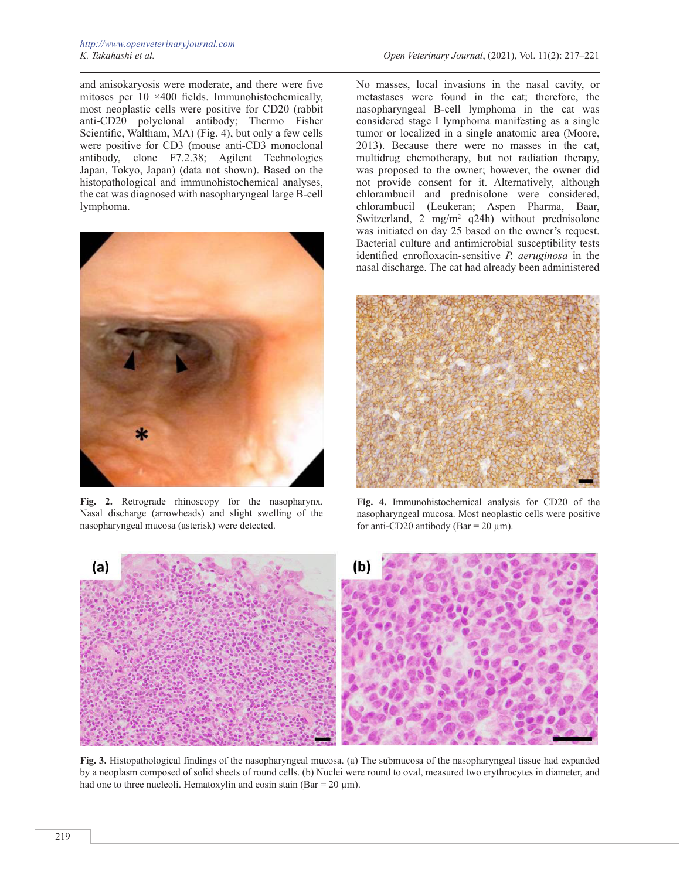and anisokaryosis were moderate, and there were five mitoses per 10 ×400 fields. Immunohistochemically, most neoplastic cells were positive for CD20 (rabbit anti-CD20 polyclonal antibody; Thermo Fisher Scientific, Waltham, MA) (Fig. 4), but only a few cells were positive for CD3 (mouse anti-CD3 monoclonal antibody, clone F7.2.38; Agilent Technologies Japan, Tokyo, Japan) (data not shown). Based on the histopathological and immunohistochemical analyses, the cat was diagnosed with nasopharyngeal large B-cell lymphoma.



**Fig. 2.** Retrograde rhinoscopy for the nasopharynx. Nasal discharge (arrowheads) and slight swelling of the nasopharyngeal mucosa (asterisk) were detected.

No masses, local invasions in the nasal cavity, or metastases were found in the cat; therefore, the nasopharyngeal B-cell lymphoma in the cat was considered stage I lymphoma manifesting as a single tumor or localized in a single anatomic area (Moore, 2013). Because there were no masses in the cat, multidrug chemotherapy, but not radiation therapy, was proposed to the owner; however, the owner did not provide consent for it. Alternatively, although chlorambucil and prednisolone were considered, chlorambucil (Leukeran; Aspen Pharma, Baar, Switzerland, 2 mg/m<sup>2</sup> q24h) without prednisolone was initiated on day 25 based on the owner's request. Bacterial culture and antimicrobial susceptibility tests identified enrofloxacin-sensitive *P. aeruginosa* in the nasal discharge. The cat had already been administered



**Fig. 4.** Immunohistochemical analysis for CD20 of the nasopharyngeal mucosa. Most neoplastic cells were positive for anti-CD20 antibody (Bar =  $20 \mu$ m).



**Fig. 3.** Histopathological findings of the nasopharyngeal mucosa. (a) The submucosa of the nasopharyngeal tissue had expanded by a neoplasm composed of solid sheets of round cells. (b) Nuclei were round to oval, measured two erythrocytes in diameter, and had one to three nucleoli. Hematoxylin and eosin stain (Bar =  $20 \text{ µm}$ ).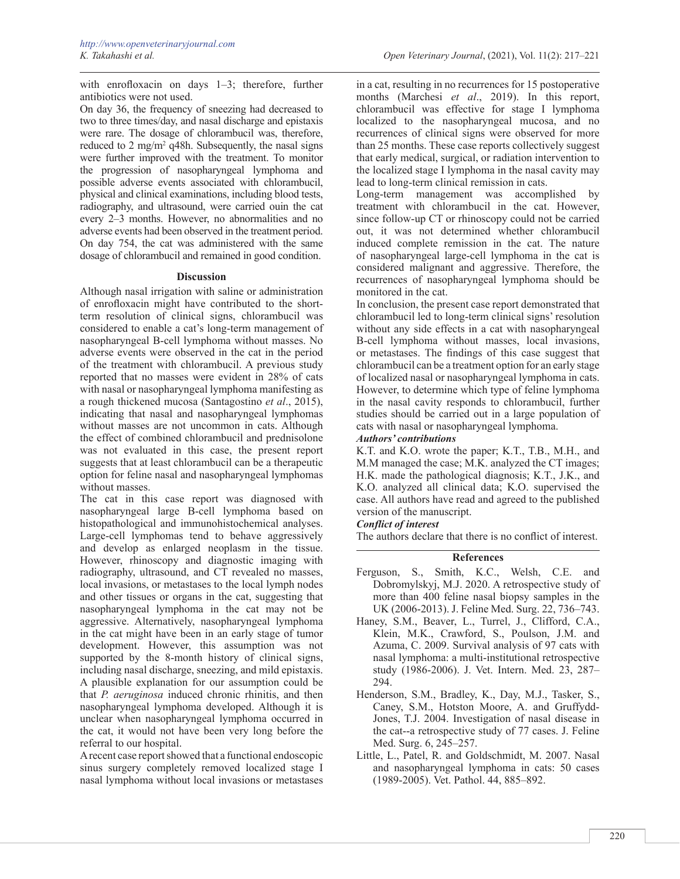with enrofloxacin on days 1–3; therefore, further antibiotics were not used.

On day 36, the frequency of sneezing had decreased to two to three times/day, and nasal discharge and epistaxis were rare. The dosage of chlorambucil was, therefore, reduced to 2 mg/m<sup>2</sup> q48h. Subsequently, the nasal signs were further improved with the treatment. To monitor the progression of nasopharyngeal lymphoma and possible adverse events associated with chlorambucil, physical and clinical examinations, including blood tests, radiography, and ultrasound, were carried ouin the cat every 2–3 months. However, no abnormalities and no adverse events had been observed in the treatment period. On day 754, the cat was administered with the same dosage of chlorambucil and remained in good condition.

## **Discussion**

Although nasal irrigation with saline or administration of enrofloxacin might have contributed to the shortterm resolution of clinical signs, chlorambucil was considered to enable a cat's long-term management of nasopharyngeal B-cell lymphoma without masses. No adverse events were observed in the cat in the period of the treatment with chlorambucil. A previous study reported that no masses were evident in 28% of cats with nasal or nasopharyngeal lymphoma manifesting as a rough thickened mucosa (Santagostino *et al*., 2015), indicating that nasal and nasopharyngeal lymphomas without masses are not uncommon in cats. Although the effect of combined chlorambucil and prednisolone was not evaluated in this case, the present report suggests that at least chlorambucil can be a therapeutic option for feline nasal and nasopharyngeal lymphomas without masses.

The cat in this case report was diagnosed with nasopharyngeal large B-cell lymphoma based on histopathological and immunohistochemical analyses. Large-cell lymphomas tend to behave aggressively and develop as enlarged neoplasm in the tissue. However, rhinoscopy and diagnostic imaging with radiography, ultrasound, and CT revealed no masses, local invasions, or metastases to the local lymph nodes and other tissues or organs in the cat, suggesting that nasopharyngeal lymphoma in the cat may not be aggressive. Alternatively, nasopharyngeal lymphoma in the cat might have been in an early stage of tumor development. However, this assumption was not supported by the 8-month history of clinical signs, including nasal discharge, sneezing, and mild epistaxis. A plausible explanation for our assumption could be that *P. aeruginosa* induced chronic rhinitis, and then nasopharyngeal lymphoma developed. Although it is unclear when nasopharyngeal lymphoma occurred in the cat, it would not have been very long before the referral to our hospital.

A recent case report showed that a functional endoscopic sinus surgery completely removed localized stage I nasal lymphoma without local invasions or metastases

in a cat, resulting in no recurrences for 15 postoperative months (Marchesi *et al*., 2019). In this report, chlorambucil was effective for stage I lymphoma localized to the nasopharyngeal mucosa, and no recurrences of clinical signs were observed for more than 25 months. These case reports collectively suggest that early medical, surgical, or radiation intervention to the localized stage I lymphoma in the nasal cavity may lead to long-term clinical remission in cats.

Long-term management was accomplished by treatment with chlorambucil in the cat. However, since follow-up CT or rhinoscopy could not be carried out, it was not determined whether chlorambucil induced complete remission in the cat. The nature of nasopharyngeal large-cell lymphoma in the cat is considered malignant and aggressive. Therefore, the recurrences of nasopharyngeal lymphoma should be monitored in the cat.

In conclusion, the present case report demonstrated that chlorambucil led to long-term clinical signs' resolution without any side effects in a cat with nasopharyngeal B-cell lymphoma without masses, local invasions, or metastases. The findings of this case suggest that chlorambucil can be a treatment option for an early stage of localized nasal or nasopharyngeal lymphoma in cats. However, to determine which type of feline lymphoma in the nasal cavity responds to chlorambucil, further studies should be carried out in a large population of cats with nasal or nasopharyngeal lymphoma.

## *Authors' contributions*

K.T. and K.O. wrote the paper; K.T., T.B., M.H., and M.M managed the case; M.K. analyzed the CT images; H.K. made the pathological diagnosis; K.T., J.K., and K.O. analyzed all clinical data; K.O. supervised the case. All authors have read and agreed to the published version of the manuscript.

# *Conflict of interest*

The authors declare that there is no conflict of interest.

# **References**

- Ferguson, S., Smith, K.C., Welsh, C.E. and Dobromylskyj, M.J. 2020. A retrospective study of more than 400 feline nasal biopsy samples in the UK (2006-2013). J. Feline Med. Surg. 22, 736–743.
- Haney, S.M., Beaver, L., Turrel, J., Clifford, C.A., Klein, M.K., Crawford, S., Poulson, J.M. and Azuma, C. 2009. Survival analysis of 97 cats with nasal lymphoma: a multi-institutional retrospective study (1986-2006). J. Vet. Intern. Med. 23, 287– 294.
- Henderson, S.M., Bradley, K., Day, M.J., Tasker, S., Caney, S.M., Hotston Moore, A. and Gruffydd-Jones, T.J. 2004. Investigation of nasal disease in the cat--a retrospective study of 77 cases. J. Feline Med. Surg. 6, 245–257.
- Little, L., Patel, R. and Goldschmidt, M. 2007. Nasal and nasopharyngeal lymphoma in cats: 50 cases (1989-2005). Vet. Pathol. 44, 885–892.